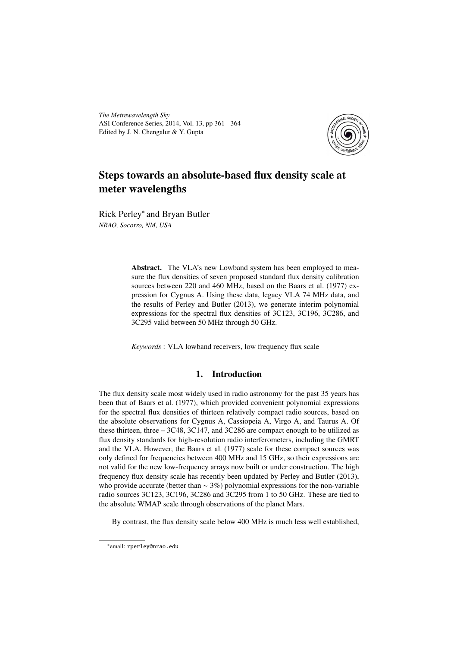*The Metrewavelength Sky* ASI Conference Series, 2014, Vol. 13, pp 361 – 364 Edited by J. N. Chengalur & Y. Gupta



# Steps towards an absolute-based flux density scale at meter wavelengths

Rick Perley<sup>∗</sup> and Bryan Butler *NRAO, Socorro, NM, USA*

> Abstract. The VLA's new Lowband system has been employed to measure the flux densities of seven proposed standard flux density calibration sources between 220 and 460 MHz, based on the Baars et al. (1977) expression for Cygnus A. Using these data, legacy VLA 74 MHz data, and the results of Perley and Butler (2013), we generate interim polynomial expressions for the spectral flux densities of 3C123, 3C196, 3C286, and 3C295 valid between 50 MHz through 50 GHz.

*Keywords* : VLA lowband receivers, low frequency flux scale

# 1. Introduction

The flux density scale most widely used in radio astronomy for the past 35 years has been that of Baars et al. (1977), which provided convenient polynomial expressions for the spectral flux densities of thirteen relatively compact radio sources, based on the absolute observations for Cygnus A, Cassiopeia A, Virgo A, and Taurus A. Of these thirteen, three – 3C48, 3C147, and 3C286 are compact enough to be utilized as flux density standards for high-resolution radio interferometers, including the GMRT and the VLA. However, the Baars et al. (1977) scale for these compact sources was only defined for frequencies between 400 MHz and 15 GHz, so their expressions are not valid for the new low-frequency arrays now built or under construction. The high frequency flux density scale has recently been updated by Perley and Butler (2013), who provide accurate (better than  $\sim$  3%) polynomial expressions for the non-variable radio sources 3C123, 3C196, 3C286 and 3C295 from 1 to 50 GHz. These are tied to the absolute WMAP scale through observations of the planet Mars.

By contrast, the flux density scale below 400 MHz is much less well established,

<sup>∗</sup> email: rperley@nrao.edu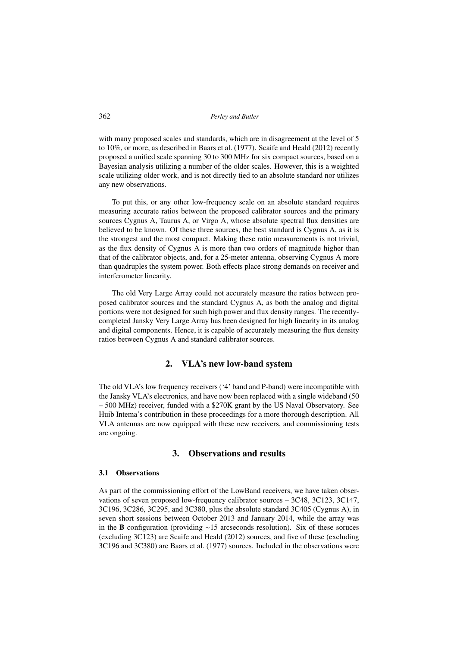with many proposed scales and standards, which are in disagreement at the level of 5 to 10%, or more, as described in Baars et al. (1977). Scaife and Heald (2012) recently proposed a unified scale spanning 30 to 300 MHz for six compact sources, based on a Bayesian analysis utilizing a number of the older scales. However, this is a weighted scale utilizing older work, and is not directly tied to an absolute standard nor utilizes any new observations.

To put this, or any other low-frequency scale on an absolute standard requires measuring accurate ratios between the proposed calibrator sources and the primary sources Cygnus A, Taurus A, or Virgo A, whose absolute spectral flux densities are believed to be known. Of these three sources, the best standard is Cygnus A, as it is the strongest and the most compact. Making these ratio measurements is not trivial, as the flux density of Cygnus A is more than two orders of magnitude higher than that of the calibrator objects, and, for a 25-meter antenna, observing Cygnus A more than quadruples the system power. Both effects place strong demands on receiver and interferometer linearity.

The old Very Large Array could not accurately measure the ratios between proposed calibrator sources and the standard Cygnus A, as both the analog and digital portions were not designed for such high power and flux density ranges. The recentlycompleted Jansky Very Large Array has been designed for high linearity in its analog and digital components. Hence, it is capable of accurately measuring the flux density ratios between Cygnus A and standard calibrator sources.

## 2. VLA's new low-band system

The old VLA's low frequency receivers ('4' band and P-band) were incompatible with the Jansky VLA's electronics, and have now been replaced with a single wideband (50 – 500 MHz) receiver, funded with a \$270K grant by the US Naval Observatory. See Huib Intema's contribution in these proceedings for a more thorough description. All VLA antennas are now equipped with these new receivers, and commissioning tests are ongoing.

## 3. Observations and results

#### 3.1 Observations

As part of the commissioning effort of the LowBand receivers, we have taken observations of seven proposed low-frequency calibrator sources – 3C48, 3C123, 3C147, 3C196, 3C286, 3C295, and 3C380, plus the absolute standard 3C405 (Cygnus A), in seven short sessions between October 2013 and January 2014, while the array was in the B configuration (providing ∼15 arcseconds resolution). Six of these soruces (excluding 3C123) are Scaife and Heald (2012) sources, and five of these (excluding 3C196 and 3C380) are Baars et al. (1977) sources. Included in the observations were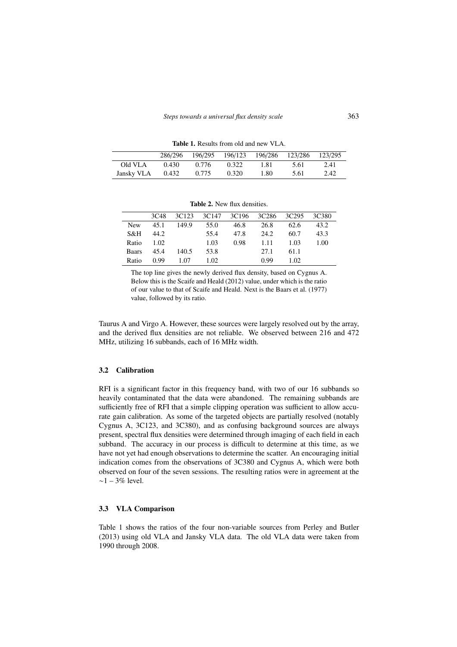Table 1. Results from old and new VLA.

|            | 286/296 |       | 196/295 196/123 |      | 196/286 123/286 | 123/295 |
|------------|---------|-------|-----------------|------|-----------------|---------|
| Old VLA    | 0.430   | 0.776 | 0.322           | 1.81 | 5.61            | 2.41    |
| Jansky VLA | 0.432   | 0.775 | 0.320           | 1.80 | 5.61            | 2.42    |

|              | 3C <sub>48</sub> | 3C <sub>123</sub> | 3C147 | 3C196 | 3C286 | 3C295 | 3C380 |
|--------------|------------------|-------------------|-------|-------|-------|-------|-------|
| <b>New</b>   | 45.1             | 149.9             | 55.0  | 46.8  | 26.8  | 62.6  | 43.2  |
| S&H          | 44.2             |                   | 55.4  | 47.8  | 24.2  | 60.7  | 43.3  |
| Ratio        | 1.02             |                   | 1.03  | 0.98  | 1.11  | 1.03  | 1.00  |
| <b>Baars</b> | 45.4             | 140.5             | 53.8  |       | 27.1  | 61.1  |       |
| Ratio        | 0.99             | 1 07              | 1.02  |       | 0.99  | 1.02  |       |

Table 2. New flux densities.

The top line gives the newly derived flux density, based on Cygnus A. Below this is the Scaife and Heald (2012) value, under which is the ratio of our value to that of Scaife and Heald. Next is the Baars et al. (1977) value, followed by its ratio.

Taurus A and Virgo A. However, these sources were largely resolved out by the array, and the derived flux densities are not reliable. We observed between 216 and 472 MHz, utilizing 16 subbands, each of 16 MHz width.

#### 3.2 Calibration

RFI is a significant factor in this frequency band, with two of our 16 subbands so heavily contaminated that the data were abandoned. The remaining subbands are sufficiently free of RFI that a simple clipping operation was sufficient to allow accurate gain calibration. As some of the targeted objects are partially resolved (notably Cygnus A, 3C123, and 3C380), and as confusing background sources are always present, spectral flux densities were determined through imaging of each field in each subband. The accuracy in our process is difficult to determine at this time, as we have not yet had enough observations to determine the scatter. An encouraging initial indication comes from the observations of 3C380 and Cygnus A, which were both observed on four of the seven sessions. The resulting ratios were in agreement at the ∼1 – 3% level.

#### 3.3 VLA Comparison

Table 1 shows the ratios of the four non-variable sources from Perley and Butler (2013) using old VLA and Jansky VLA data. The old VLA data were taken from 1990 through 2008.